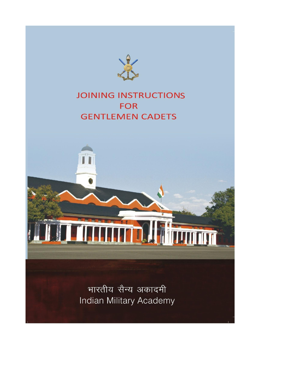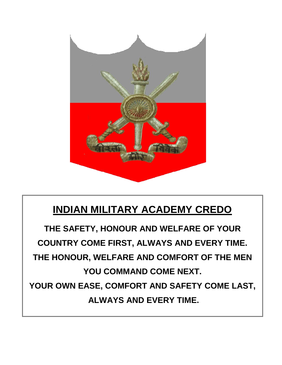

# **INDIAN MILITARY ACADEMY CREDO**

**THE SAFETY, HONOUR AND WELFARE OF YOUR COUNTRY COME FIRST, ALWAYS AND EVERY TIME. THE HONOUR, WELFARE AND COMFORT OF THE MEN YOU COMMAND COME NEXT. YOUR OWN EASE, COMFORT AND SAFETY COME LAST, ALWAYS AND EVERY TIME.**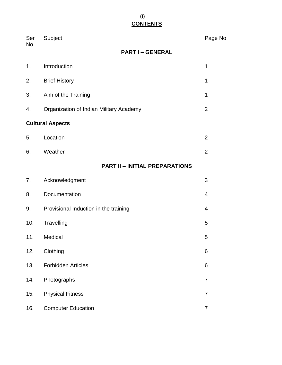# (i) **CONTENTS**

| Ser<br>No | Subject                                 | Page No        |
|-----------|-----------------------------------------|----------------|
|           | <b>PART I - GENERAL</b>                 |                |
| 1.        | Introduction                            | 1              |
| 2.        | <b>Brief History</b>                    | 1              |
| 3.        | Aim of the Training                     | 1              |
| 4.        | Organization of Indian Military Academy | $\overline{2}$ |
|           | <b>Cultural Aspects</b>                 |                |
| 5.        | Location                                | $\overline{2}$ |
| 6.        | Weather                                 | $\overline{2}$ |
|           | <b>PART II - INITIAL PREPARATIONS</b>   |                |
| 7.        | Acknowledgment                          | 3              |
| 8.        | Documentation                           | 4              |
| 9.        | Provisional Induction in the training   | 4              |
| 10.       | Travelling                              | 5              |
| 11.       | Medical                                 | 5              |
| 12.       | Clothing                                | 6              |
| 13.       | <b>Forbidden Articles</b>               | 6              |
| 14.       | Photographs                             | $\overline{7}$ |
| 15.       | <b>Physical Fitness</b>                 | 7              |
| 16.       | <b>Computer Education</b>               | 7              |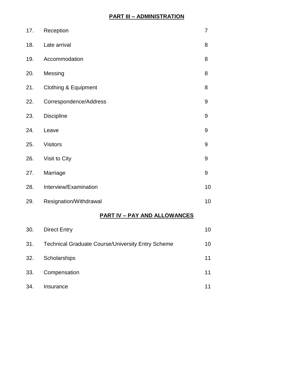## **PART III – ADMINISTRATION**

| 17. | Reception                       | 7                |
|-----|---------------------------------|------------------|
| 18. | Late arrival                    | 8                |
| 19. | Accommodation                   | 8                |
| 20. | Messing                         | 8                |
| 21. | <b>Clothing &amp; Equipment</b> | 8                |
| 22. | Correspondence/Address          | 9                |
| 23. | <b>Discipline</b>               | $\boldsymbol{9}$ |
| 24. | Leave                           | $\boldsymbol{9}$ |
| 25. | <b>Visitors</b>                 | $\boldsymbol{9}$ |
| 26. | Visit to City                   | 9                |
| 27. | Marriage                        | 9                |
| 28. | Interview/Examination           | 10               |
| 29. | Resignation/Withdrawal          | 10               |

## **PART IV – PAY AND ALLOWANCES**

| 30. | <b>Direct Entry</b>                                      | 10 |
|-----|----------------------------------------------------------|----|
| 31. | <b>Technical Graduate Course/University Entry Scheme</b> | 10 |
| 32. | Scholarships                                             | 11 |
| 33. | Compensation                                             | 11 |
| 34. | Insurance                                                |    |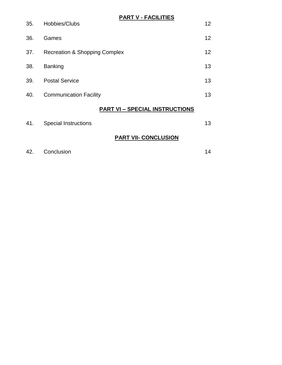| 12<br>Hobbies/Clubs<br>35.<br>12<br>36.<br>Games<br>12<br><b>Recreation &amp; Shopping Complex</b><br>37.<br>13<br><b>Banking</b><br>38.<br>13<br><b>Postal Service</b><br>39.<br>13<br><b>Communication Facility</b><br>40.<br><b>PART VI - SPECIAL INSTRUCTIONS</b><br>13<br>41.<br><b>Special Instructions</b><br>PART VII- CONCLUSION | <b>PART V - FACILITIES</b> |  |
|-------------------------------------------------------------------------------------------------------------------------------------------------------------------------------------------------------------------------------------------------------------------------------------------------------------------------------------------|----------------------------|--|
|                                                                                                                                                                                                                                                                                                                                           |                            |  |
|                                                                                                                                                                                                                                                                                                                                           |                            |  |
|                                                                                                                                                                                                                                                                                                                                           |                            |  |
|                                                                                                                                                                                                                                                                                                                                           |                            |  |
|                                                                                                                                                                                                                                                                                                                                           |                            |  |
|                                                                                                                                                                                                                                                                                                                                           |                            |  |
|                                                                                                                                                                                                                                                                                                                                           |                            |  |
|                                                                                                                                                                                                                                                                                                                                           |                            |  |
|                                                                                                                                                                                                                                                                                                                                           |                            |  |

|     | Conclusion |  |
|-----|------------|--|
| 42. |            |  |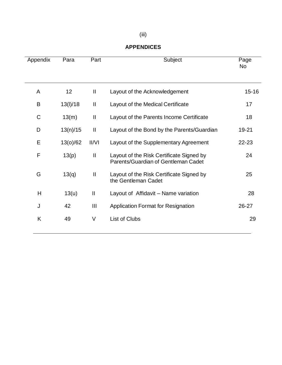## **APPENDICES**

| Appendix | Para            | Part                   | Subject                                                                         | Page<br>No |
|----------|-----------------|------------------------|---------------------------------------------------------------------------------|------------|
| A        | 12 <sub>2</sub> | $\mathbf{\mathsf{II}}$ | Layout of the Acknowledgement                                                   | $15 - 16$  |
| B        | 13(1)/18        | Ш                      | Layout of the Medical Certificate                                               | 17         |
| C        | 13(m)           | $\mathbf{  }$          | Layout of the Parents Income Certificate                                        | 18         |
| D        | 13(n)/15        | $\mathbf{  }$          | Layout of the Bond by the Parents/Guardian                                      | 19-21      |
| Е        | 13(0)/62        | II/VI                  | Layout of the Supplementary Agreement                                           | $22 - 23$  |
| F        | 13(p)           | Ш                      | Layout of the Risk Certificate Signed by<br>Parents/Guardian of Gentleman Cadet | 24         |
| G        | 13(q)           | Ш                      | Layout of the Risk Certificate Signed by<br>the Gentleman Cadet                 | 25         |
| Н        | 13(u)           | $\mathbf{I}$           | Layout of Affidavit – Name variation                                            | 28         |
| J        | 42              | Ш                      | <b>Application Format for Resignation</b>                                       | $26 - 27$  |
| K        | 49              | V                      | List of Clubs                                                                   | 29         |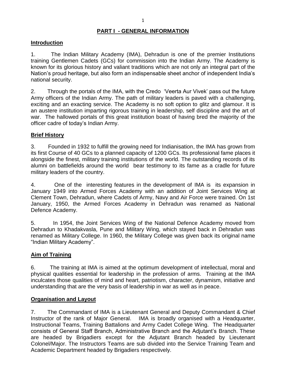#### **PART I - GENERAL INFORMATION**

#### **Introduction**

1. The Indian Military Academy (IMA), Dehradun is one of the premier Institutions training Gentlemen Cadets (GCs) for commission into the Indian Army. The Academy is known for its glorious history and valiant traditions which are not only an integral part of the Nation's proud heritage, but also form an indispensable sheet anchor of independent India's national security.

2. Through the portals of the IMA, with the Credo "Veerta Aur Vivek" pass out the future Army officers of the Indian Army. The path of military leaders is paved with a challenging, exciting and an exacting service. The Academy is no soft option to glitz and glamour. It is an austere institution imparting rigorous training in leadership, self discipline and the art of war. The hallowed portals of this great institution boast of having bred the majority of the officer cadre of today"s Indian Army.

#### **Brief History**

3. Founded in 1932 to fulfill the growing need for Indianisation, the IMA has grown from its first Course of 40 GCs to a planned capacity of 1200 GCs. Its professional fame places it alongside the finest, military training institutions of the world. The outstanding records of its alumni on battlefields around the world bear testimony to its fame as a cradle for future military leaders of the country.

4. One of the interesting features in the development of IMA is its expansion in January 1949 into Armed Forces Academy with an addition of Joint Services Wing at Clement Town, Dehradun, where Cadets of Army, Navy and Air Force were trained. On 1st January, 1950, the Armed Forces Academy in Dehradun was renamed as National Defence Academy.

5. In 1954, the Joint Services Wing of the National Defence Academy moved from Dehradun to Khadakvasla, Pune and Military Wing, which stayed back in Dehradun was renamed as Military College. In 1960, the Military College was given back its original name "Indian Military Academy".

#### **Aim of Training**

6. The training at IMA is aimed at the optimum development of intellectual, moral and physical qualities essential for leadership in the profession of arms. Training at the IMA inculcates those qualities of mind and heart, patriotism, character, dynamism, initiative and understanding that are the very basis of leadership in war as well as in peace.

#### **Organisation and Layout**

7. The Commandant of IMA is a Lieutenant General and Deputy Commandant & Chief Instructor of the rank of Major General. IMA is broadly organised with a Headquarter, Instructional Teams, Training Battalions and Army Cadet College Wing. The Headquarter consists of General Staff Branch, Administrative Branch and the Adjutant"s Branch. These are headed by Brigadiers except for the Adjutant Branch headed by Lieutenant Colonel/Major. The Instructors Teams are sub divided into the Service Training Team and Academic Department headed by Brigadiers respectively.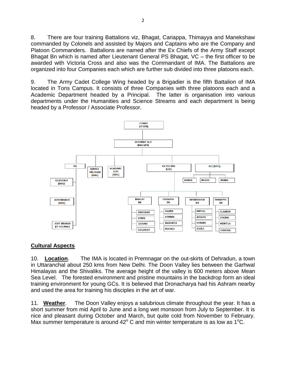8. There are four training Battalions viz, Bhagat, Cariappa, Thimayya and Manekshaw commanded by Colonels and assisted by Majors and Captains who are the Company and Platoon Commanders. Battalions are named after the Ex Chiefs of the Army Staff except Bhagat Bn which is named after Lieutenant General PS Bhagat, VC – the first officer to be awarded with Victoria Cross and also was the Commandant of IMA. The Battalions are organized into four Companies each which are further sub divided into three platoons each.

9. The Army Cadet College Wing headed by a Brigadier is the fifth Battalion of IMA located in Tons Campus. It consists of three Companies with three platoons each and a Academic Department headed by a Principal. The latter is organisation into various departments under the Humanities and Science Streams and each department is being headed by a Professor / Associate Professor.



#### **Cultural Aspects**

10. **Location**. The IMA is located in Premnagar on the out-skirts of Dehradun, a town in Uttaranchal about 250 kms from New Delhi. The Doon Valley lies between the Garhwal Himalayas and the Shivaliks. The average height of the valley is 600 meters above Mean Sea Level. The forested environment and pristine mountains in the backdrop form an ideal training environment for young GCs. It is believed that Dronacharya had his Ashram nearby and used the area for training his disciples in the art of war.

11. **Weather**. The Doon Valley enjoys a salubrious climate throughout the year. It has a short summer from mid April to June and a long wet monsoon from July to September. It is nice and pleasant during October and March, but quite cold from November to February. Max summer temperature is around  $42^{\circ}$  C and min winter temperature is as low as 1<sup>o</sup>C.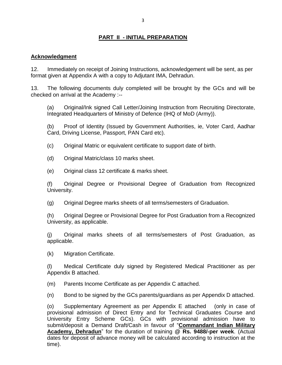## **PART II - INITIAL PREPARATION**

#### **Acknowledgment**

12. Immediately on receipt of Joining Instructions, acknowledgement will be sent, as per format given at Appendix A with a copy to Adjutant IMA, Dehradun.

13. The following documents duly completed will be brought by the GCs and will be checked on arrival at the Academy :--

(a) Original/Ink signed Call Letter/Joining Instruction from Recruiting Directorate, Integrated Headquarters of Ministry of Defence (IHQ of MoD (Army)).

(b) Proof of Identity (Issued by Government Authorities, ie, Voter Card, Aadhar Card, Driving License, Passport, PAN Card etc).

(c) Original Matric or equivalent certificate to support date of birth.

(d) Original Matric/class 10 marks sheet.

(e) Original class 12 certificate & marks sheet.

(f) Original Degree or Provisional Degree of Graduation from Recognized University.

(g) Original Degree marks sheets of all terms/semesters of Graduation.

(h) Original Degree or Provisional Degree for Post Graduation from a Recognized University, as applicable.

(j) Original marks sheets of all terms/semesters of Post Graduation, as applicable.

(k) Migration Certificate.

(l) Medical Certificate duly signed by Registered Medical Practitioner as per Appendix B attached.

(m) Parents Income Certificate as per Appendix C attached.

(n) Bond to be signed by the GCs parents/guardians as per Appendix D attached.

(o) Supplementary Agreement as per Appendix E attached (only in case of provisional admission of Direct Entry and for Technical Graduates Course and University Entry Scheme GCs). GCs with provisional admission have to submit/deposit a Demand Draft/Cash in favour of "**Commandant Indian Military Academy, Dehradun**" for the duration of training **@ Rs. 9488/-per week**. (Actual dates for deposit of advance money will be calculated according to instruction at the time).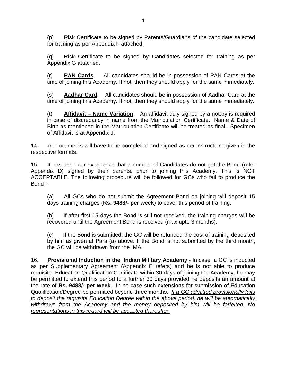(p) Risk Certificate to be signed by Parents/Guardians of the candidate selected for training as per Appendix F attached.

(q) Risk Certificate to be signed by Candidates selected for training as per Appendix G attached.

(r) **PAN Cards**. All candidates should be in possession of PAN Cards at the time of joining this Academy. If not, then they should apply for the same immediately.

(s) **Aadhar Card**. All candidates should be in possession of Aadhar Card at the time of joining this Academy. If not, then they should apply for the same immediately.

(t) **Affidavit – Name Variation**. An affidavit duly signed by a notary is required in case of discrepancy in name from the Matriculation Certificate. Name & Date of Birth as mentioned in the Matriculation Certificate will be treated as final. Specimen of Affidavit is at Appendix J.

14. All documents will have to be completed and signed as per instructions given in the respective formats.

15. It has been our experience that a number of Candidates do not get the Bond (refer Appendix D) signed by their parents, prior to joining this Academy. This is NOT ACCEPTABLE. The following procedure will be followed for GCs who fail to produce the Bond :-

(a) All GCs who do not submit the Agreement Bond on joining will deposit 15 days training charges (**Rs. 9488/- per week**) to cover this period of training.

(b) If after first 15 days the Bond is still not received, the training charges will be recovered until the Agreement Bond is received (max upto 3 months).

(c) If the Bond is submitted, the GC will be refunded the cost of training deposited by him as given at Para (a) above. If the Bond is not submitted by the third month, the GC will be withdrawn from the IMA.

16. **Provisional Induction in the Indian Military Academy** - In case a GC is inducted as per Supplementary Agreement (Appendix E refers) and he is not able to produce requisite Education Qualification Certificate within 30 days of joining the Academy, he may be permitted to extend this period to a further 30 days provided he deposits an amount at the rate of **Rs. 9488/- per week**. In no case such extensions for submission of Education Qualification/Degree be permitted beyond three months. *If a GC admitted provisionally fails to deposit the requisite Education Degree within the above period, he will be automatically withdrawn from the Academy and the money deposited by him will be forfeited. No representations in this regard will be accepted thereafter.*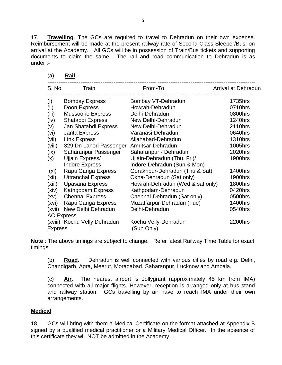17. **Travelling**. The GCs are required to travel to Dehradun on their own expense. Reimbursement will be made at the present railway rate of Second Class Sleeper/Bus, on arrival at the Academy. All GCs will be in possession of Train/Bus tickets and supporting documents to claim the same. The rail and road communication to Dehradun is as under :-

| S. No.         | Train                        | From-To                          | Arrival at Dehradun |
|----------------|------------------------------|----------------------------------|---------------------|
| (i)            | <b>Bombay Express</b>        | Bombay VT-Dehradun               | 1735hrs             |
| (ii)           | Doon Express                 | Howrah-Dehradun                  | 0710hrs             |
| (iii)          | <b>Mussoorie Express</b>     | Delhi-Dehradun                   | 0800hrs             |
| (iv)           | Shatabdi Express             | New Delhi-Dehradun               | 1240hrs             |
| (v)            | Jan Shatabdi Express         | New Delhi-Dehradun               | 2110hrs             |
| (vi)           | Janta Express                | Varanasi-Dehradun                | 0640hrs             |
| (vii)          | <b>Link Express</b>          | Allahabad-Dehradun               | <b>1310hrs</b>      |
| (viii)         | 329 Dn Lahori Passenger      | Amritsar-Dehradun                | 1005hrs             |
| (ix)           | Saharanpur Passenger         | Saharanpur - Dehradun            | 2020hrs             |
| (x)            | Ujjain Express/              | Ujjain-Dehradun (Thu, Fri)/      | <b>1900hrs</b>      |
|                | <b>Indore Express</b>        | Indore-Dehradun (Sun & Mon)      |                     |
| (xi)           | Rapti Ganga Express          | Gorakhpur-Dehradun (Thu & Sat)   | 1400hrs             |
| (xii)          | <b>Uttranchal Express</b>    | Okha-Dehradun (Sat only)         | <b>1900hrs</b>      |
| (xiii)         | Upasana Express              | Howrah-Dehradun (Wed & sat only) | 1800hrs             |
| (xiv)          | Kathgodam Express            | Kathgodam-Dehradun               | 0420hrs             |
| (xv)           | <b>Chennai Express</b>       | Chennai-Dehradun (Sat only)      | 0500hrs             |
| (xvi)          | Rapti Ganga Express          | Muzaffarpur-Dehradun (Tue)       | 1400hrs             |
| (xvii)         | New Delhi Dehradun           | Delhi-Dehradun                   | 0540hrs             |
|                | <b>AC Express</b>            |                                  |                     |
|                | (xviii) Kochu Velly Dehradun | Kochu Velly-Dehradun             | 2200hrs             |
| <b>Express</b> |                              | (Sun Only)                       |                     |
|                |                              |                                  |                     |

| ıа |  | Rail. |  |
|----|--|-------|--|
|    |  |       |  |

**Note** : The above timings are subject to change. Refer latest Railway Time Table for exact timings.

(b) **Road**. Dehradun is well connected with various cities by road e.g. Delhi, Chandigarh, Agra, Meerut, Moradabad, Saharanpur, Lucknow and Ambala.

(c) **Air**. The nearest airport is Jollygrant (approximately 45 km from IMA) connected with all major flights. However, reception is arranged only at bus stand and railway station. GCs travelling by air have to reach IMA under their own arrangements.

#### **Medical**

18. GCs will bring with them a Medical Certificate on the format attached at Appendix B signed by a qualified medical practitioner or a Military Medical Officer. In the absence of this certificate they will NOT be admitted in the Academy.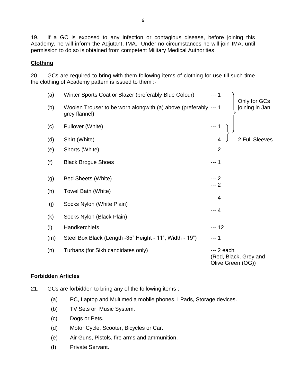19. If a GC is exposed to any infection or contagious disease, before joining this Academy, he will inform the Adjutant, IMA. Under no circumstances he will join IMA, until permission to do so is obtained from competent Military Medical Authorities.

#### **Clothing**

20. GCs are required to bring with them following items of clothing for use till such time the clothing of Academy pattern is issued to them :-

| (a) | Winter Sports Coat or Blazer (preferably Blue Colour)                            | $-- 1$<br>Only for GCs                                  |
|-----|----------------------------------------------------------------------------------|---------------------------------------------------------|
| (b) | Woolen Trouser to be worn alongwith (a) above (preferably --- 1<br>grey flannel) | joining in Jan                                          |
| (c) | Pullover (White)                                                                 | $\begin{matrix}\n-1 \\ \end{matrix}$                    |
| (d) | Shirt (White)                                                                    | 2 Full Sleeves                                          |
| (e) | Shorts (White)                                                                   | $-- 2$                                                  |
| (f) | <b>Black Brogue Shoes</b>                                                        | --- 1                                                   |
| (g) | <b>Bed Sheets (White)</b>                                                        | $-- 2$<br>$-2$                                          |
| (h) | Towel Bath (White)                                                               |                                                         |
| (j) | Socks Nylon (White Plain)                                                        | $-- 4$                                                  |
| (k) | Socks Nylon (Black Plain)                                                        | $-- 4$                                                  |
| (1) | Handkerchiefs                                                                    | $-- 12$                                                 |
| (m) | Steel Box Black (Length -35", Height - 11", Width - 19")                         | $-- 1$                                                  |
| (n) | Turbans (for Sikh candidates only)                                               | $-2$ each<br>(Red, Black, Grey and<br>Olive Green (OG)) |

#### **Forbidden Articles**

- 21. GCs are forbidden to bring any of the following items :-
	- (a) PC, Laptop and Multimedia mobile phones, I Pads, Storage devices.
	- (b) TV Sets or Music System.
	- (c) Dogs or Pets.
	- (d) Motor Cycle, Scooter, Bicycles or Car.
	- (e) Air Guns, Pistols, fire arms and ammunition.
	- (f) Private Servant.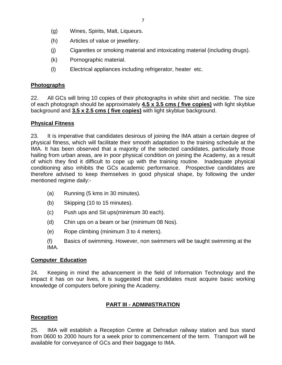- (g) Wines, Spirits, Malt, Liqueurs.
- (h) Articles of value or jewellery.
- (j) Cigarettes or smoking material and intoxicating material (including drugs).
- (k) Pornographic material.
- (l) Electrical appliances including refrigerator, heater etc.

## **Photographs**

22. All GCs will bring 10 copies of their photographs in white shirt and necktie. The size of each photograph should be approximately **4.5 x 3.5 cms ( five copies)** with light skyblue background and **3.5 x 2.5 cms ( five copies)** with light skyblue background.

## **Physical Fitness**

23. It is imperative that candidates desirous of joining the IMA attain a certain degree of physical fitness, which will facilitate their smooth adaptation to the training schedule at the IMA. It has been observed that a majority of the selected candidates, particularly those hailing from urban areas, are in poor physical condition on joining the Academy, as a result of which they find it difficult to cope up with the training routine. Inadequate physical conditioning also inhibits the GCs academic performance. Prospective candidates are therefore advised to keep themselves in good physical shape, by following the under mentioned regime daily:-

- (a) Running (5 kms in 30 minutes).
- (b) Skipping (10 to 15 minutes).
- (c) Push ups and Sit ups(minimum 30 each).
- (d) Chin ups on a beam or bar (minimum 08 Nos).
- (e) Rope climbing (minimum 3 to 4 meters).
- (f) Basics of swimming. However, non swimmers will be taught swimming at the IMA.

## **Computer Education**

24. Keeping in mind the advancement in the field of Information Technology and the impact it has on our lives, it is suggested that candidates must acquire basic working knowledge of computers before joining the Academy.

## **PART III - ADMINISTRATION**

## **Reception**

25. IMA will establish a Reception Centre at Dehradun railway station and bus stand from 0600 to 2000 hours for a week prior to commencement of the term. Transport will be available for conveyance of GCs and their baggage to IMA.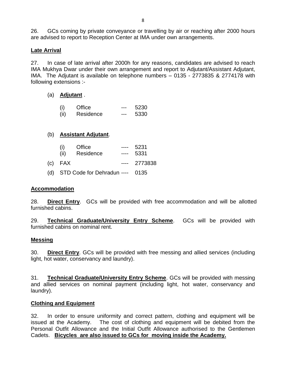26. GCs coming by private conveyance or travelling by air or reaching after 2000 hours are advised to report to Reception Center at IMA under own arrangements.

#### **Late Arrival**

27. In case of late arrival after 2000h for any reasons, candidates are advised to reach IMA Mukhya Dwar under their own arrangement and report to Adjutant/Assistant Adjutant, IMA. The Adjutant is available on telephone numbers – 0135 - 2773835 & 2774178 with following extensions :-

#### (a) **Adjutant** .

| (i)   | Office    | --- | 5230 |
|-------|-----------|-----|------|
| (iii) | Residence | --- | 5330 |

#### (b) **Assistant Adjutant**.

| (i)      | Office | 5231  |
|----------|--------|-------|
| $\cdots$ |        | -^^ ' |

- (ii) Residence ---- 5331
- (c) FAX ---- 2773838
- (d) STD Code for Dehradun ---- 0135

#### **Accommodation**

28. **Direct Entry**. GCs will be provided with free accommodation and will be allotted furnished cabins.

29. **Technical Graduate/University Entry Scheme**. GCs will be provided with furnished cabins on nominal rent.

#### **Messing**

30. **Direct Entry**. GCs will be provided with free messing and allied services (including light, hot water, conservancy and laundry).

31. **Technical Graduate/University Entry Scheme**. GCs will be provided with messing and allied services on nominal payment (including light, hot water, conservancy and laundry).

#### **Clothing and Equipment**

32. In order to ensure uniformity and correct pattern, clothing and equipment will be issued at the Academy. The cost of clothing and equipment will be debited from the Personal Outfit Allowance and the Initial Outfit Allowance authorised to the Gentlemen Cadets. **Bicycles are also issued to GCs for moving inside the Academy.**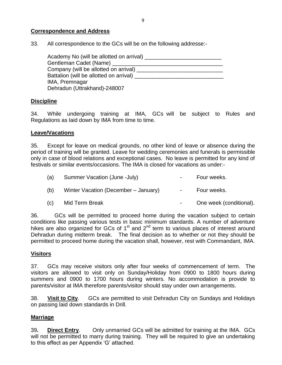#### **Correspondence and Address**

33. All correspondence to the GCs will be on the following addresse:-

| Academy No (will be allotted on arrival) _____ |  |
|------------------------------------------------|--|
| Gentleman Cadet (Name)                         |  |
| Company (will be allotted on arrival)          |  |
| Battalion (will be allotted on arrival)        |  |
| IMA, Premnagar                                 |  |
| Dehradun (Uttrakhand)-248007                   |  |

#### **Discipline**

34. While undergoing training at IMA, GCs will be subject to Rules and Regulations as laid down by IMA from time to time.

#### **Leave/Vacations**

35. Except for leave on medical grounds, no other kind of leave or absence during the period of training will be granted. Leave for wedding ceremonies and funerals is permissible only in case of blood relations and exceptional cases. No leave is permitted for any kind of festivals or similar events/occasions. The IMA is closed for vacations as under:-

| (a) | Summer Vacation (June -July)         | $\sim$ | Four weeks.             |
|-----|--------------------------------------|--------|-------------------------|
| (b) | Winter Vacation (December – January) | $\sim$ | Four weeks.             |
| (C) | Mid Term Break                       |        | One week (conditional). |

36. GCs will be permitted to proceed home during the vacation subject to certain conditions like passing various tests in basic minimum standards. A number of adventure hikes are also organized for GCs of 1<sup>st</sup> and 2<sup>nd</sup> term to various places of interest around Dehradun during midterm break. The final decision as to whether or not they should be permitted to proceed home during the vacation shall, however, rest with Commandant, IMA.

#### **Visitors**

37. GCs may receive visitors only after four weeks of commencement of term. The visitors are allowed to visit only on Sunday/Holiday from 0900 to 1800 hours during summers and 0900 to 1700 hours during winters. No accommodation is provide to parents/visitor at IMA therefore parents/visitor should stay under own arrangements.

38. **Visit to City**. GCs are permitted to visit Dehradun City on Sundays and Holidays on passing laid down standards in Drill.

#### **Marriage**

39**. Direct Entry**. Only unmarried GCs will be admitted for training at the IMA. GCs will not be permitted to marry during training. They will be required to give an undertaking to this effect as per Appendix "G" attached.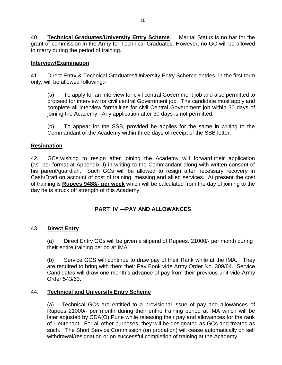40. **Technical Graduates/University Entry Scheme**. Marital Status is no bar for the grant of commission in the Army for Technical Graduates. However, no GC will be allowed to marry during the period of training.

#### **Interview/Examination**

41. Direct Entry & Technical Graduates/University Entry Scheme entries, in the first term only, will be allowed following:-

(a) To apply for an interview for civil central Government job and also permitted to proceed for interview for civil central Government job. The candidate must apply and complete all interview formalities for civil Central Government job within 30 days of joining the Academy. Any application after 30 days is not permitted.

(b) To appear for the SSB, provided he applies for the same in writing to the Commandant of the Academy within three days of receipt of the SSB letter.

#### **Resignation**

42. GCs wishing to resign after joining the Academy will forward their application (as per format at Appendix J) in writing to the Commandant along with written consent of his parent/guardian. Such GCs will be allowed to resign after necessary recovery in Cash/Draft on account of cost of training, messing and allied services. At present the cost of training is **Rupees 9488/- per week** which will be calculated from the day of joining to the day he is struck off strength of this Academy.

#### **PART IV —PAY AND ALLOWANCES**

#### 43. **Direct Entry**

(a) Direct Entry GCs will be given a stipend of Rupees. 21000/- per month during their entire training period at IMA.

(b) Service GCS will continue to draw pay of their Rank while at the IMA. They are required to bring with them their Pay Book vide Army Order No. 309/64. Service Candidates will draw one month's advance of pay from their previous unit vide Army Order 543/63.

#### 44. **Technical and University Entry Scheme**

(a) Technical GCs are entitled to a provisional issue of pay and allowances of Rupees 21000/- per month during their entire training period at IMA which will be later adjusted by CDA(O) Pune while releasing their pay and allowances for the rank of Lieutenant. For all other purposes, they will be designated as GCs and treated as such. The Short Service Commission (on probation) will cease automatically on self withdrawal/resignation or on successful completion of training at the Academy.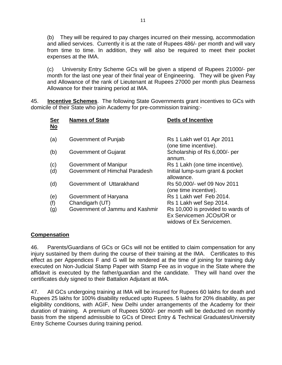(b) They will be required to pay charges incurred on their messing, accommodation and allied services. Currently it is at the rate of Rupees 486/- per month and will vary from time to time. In addition, they will also be required to meet their pocket expenses at the IMA.

(c) University Entry Scheme GCs will be given a stipend of Rupees 21000/- per month for the last one year of their final year of Engineering. They will be given Pay and Allowance of the rank of Lieutenant at Rupees 27000 per month plus Dearness Allowance for their training period at IMA.

45. **Incentive Schemes**. The following State Governments grant incentives to GCs with domicile of their State who join Academy for pre-commission training:-

| <b>Ser</b><br>No | <b>Names of State</b>           | <b>DetIs of Incentive</b>                                                                 |
|------------------|---------------------------------|-------------------------------------------------------------------------------------------|
| (a)              | Government of Punjab            | Rs 1 Lakh wef 01 Apr 2011<br>(one time incentive).                                        |
| (b)              | <b>Government of Gujarat</b>    | Scholarship of Rs 6,000/- per<br>annum.                                                   |
| (c)              | Government of Manipur           | Rs 1 Lakh (one time incentive).                                                           |
| (d)              | Government of Himchal Paradesh  | Initial lump-sum grant & pocket<br>allowance.                                             |
| (d)              | Government of Uttarakhand       | Rs 50,000/- wef 09 Nov 2011<br>(one time incentive).                                      |
| (e)              | Government of Haryana           | Rs 1 Lakh wef Feb 2014.                                                                   |
| (f)              | Chandigarh (UT)                 | Rs 1 Lakh wef Sep 2014.                                                                   |
| (g)              | Government of Jammu and Kashmir | Rs 10,000 is provided to wards of<br>Ex Servicemen JCOs/OR or<br>widows of Ex Servicemen. |

#### **Compensation**

46. Parents/Guardians of GCs or GCs will not be entitled to claim compensation for any injury sustained by them during the course of their training at the IMA. Certificates to this effect as per Appendices F and G will be rendered at the time of joining for training duly executed on Non-Judicial Stamp Paper with Stamp Fee as in vogue in the State where the affidavit is executed by the father/guardian and the candidate. They will hand over the certificates duly signed to their Battalion Adjutant at IMA.

47. All GCs undergoing training at IMA will be insured for Rupees 60 lakhs for death and Rupees 25 lakhs for 100% disability reduced upto Rupees. 5 lakhs for 20% disability, as per eligibility conditions, with AGIF, New Delhi under arrangements of the Academy for their duration of training. A premium of Rupees 5000/- per month will be deducted on monthly basis from the stipend admissible to GCs of Direct Entry & Technical Graduates/University Entry Scheme Courses during training period.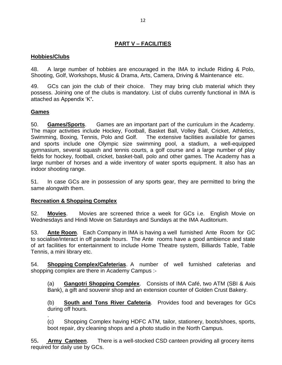## **PART V – FACILITIES**

#### **Hobbies/Clubs**

48. A large number of hobbies are encouraged in the IMA to include Riding & Polo, Shooting, Golf, Workshops, Music & Drama, Arts, Camera, Driving & Maintenance etc.

49. GCs can join the club of their choice. They may bring club material which they possess. Joining one of the clubs is mandatory. List of clubs currently functional in IMA is attached as Appendix "K**'.**

#### **Games**

50. **Games/Sports**. Games are an important part of the curriculum in the Academy. The major activities include Hockey, Football, Basket Ball, Volley Ball, Cricket, Athletics, Swimming, Boxing, Tennis, Polo and Golf. The extensive facilities available for games and sports include one Olympic size swimming pool, a stadium, a well-equipped gymnasium, several squash and tennis courts, a golf course and a large number of play fields for hockey, football, cricket, basket-ball, polo and other games. The Academy has a large number of horses and a wide inventory of water sports equipment. It also has an indoor shooting range.

51. In case GCs are in possession of any sports gear, they are permitted to bring the same alongwith them.

#### **Recreation & Shopping Complex**

52. **Movies**. Movies are screened thrice a week for GCs i.e. English Movie on Wednesdays and Hindi Movie on Saturdays and Sundays at the IMA Auditorium.

53. **Ante Room**. Each Company in IMA is having a well furnished Ante Room for GC to socialise/interact in off parade hours. The Ante rooms have a good ambience and state of art facilities for entertainment to include Home Theatre system, Billiards Table, Table Tennis, a mini library etc.

54. **Shopping Complex/Cafeterias**. A number of well furnished cafeterias and shopping complex are there in Academy Campus :-

(a) **Gangotri Shopping Complex**. Consists of IMA Café, two ATM (SBI & Axis Bank), a gift and souvenir shop and an extension counter of Golden Crust Bakery.

(b) **South and Tons River Cafeteria**. Provides food and beverages for GCs during off hours.

. (c) Shopping Complex having HDFC ATM, tailor, stationery, boots/shoes, sports, boot repair, dry cleaning shops and a photo studio in the North Campus.

55**. Army Canteen**. There is a well-stocked CSD canteen providing all grocery items required for daily use by GCs.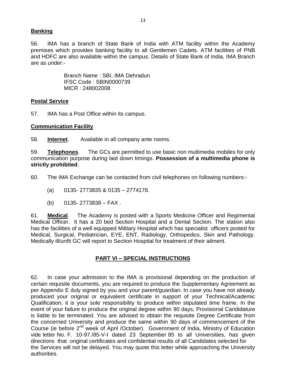#### **Banking**

56. IMA has a branch of State Bank of India with ATM facility within the Academy premises which provides banking facility to all Gentlemen Cadets. ATM facilities of PNB and HDFC are also available within the campus. Details of State Bank of India, IMA Branch are as under:-

> Branch Name : SBI, IMA Dehradun IFSC Code : SBIN0000739 MICR : 248002008

#### **Postal Service**

57. IMA has a Post Office within its campus.

#### **Communication Facility**

58. **Internet**. Available in all company ante rooms.

59. **Telephones**. The GCs are permitted to use basic non multimedia mobiles for only communication purpose during laid down timings. **Possession of a multimedia phone is strictly prohibited**.

60. The IMA Exchange can be contacted from civil telephones on following numbers:-

- (a) 0135- 2773835 & 0135 2774178.
- $(b)$  0135- 2773838 FAX .

61. **Medical**. The Academy is posted with a Sports Medicine Officer and Regimental Medical Officer. It has a 20 bed Section Hospital and a Dental Section. The station also has the facilities of a well equipped Military Hospital which has specialist officers posted for Medical, Surgical, Pediatrician, EYE, ENT, Radiology, Orthopedics, Skin and Pathology. Medically ill/unfit GC will report to Section Hospital for treatment of their ailment.

#### **PART VI – SPECIAL INSTRUCTIONS**

62. In case your admission to the IMA is provisional depending on the production of certain requisite documents, you are required to produce the Supplementary Agreement as per Appendix E duly signed by you and your parent/guardian. In case you have not already produced your original or equivalent certificate in support of your Technical/Academic Qualification, it is your sole responsibility to produce within stipulated time frame. In the event of your failure to produce the original degree within 90 days, Provisional Candidature is liable to be terminated. You are advised to obtain the requisite Degree Certificate from the concerned University and produce the same within 90 days of commencement of the Course (ie before 2<sup>nd</sup> week of April /October). Government of India, Ministry of Education vide letter No. F. 10-97./85-V-I dated 23 September 85 to all Universities, has given directions that original certificates and confidential results of all Candidates selected for the Services will not be delayed. You may quote this letter while approaching the University authorities.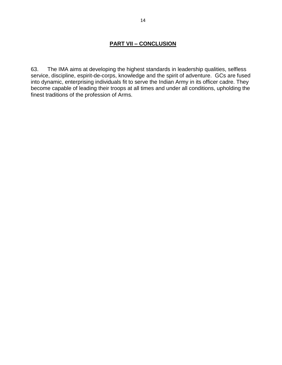## **PART VII – CONCLUSION**

63. The IMA aims at developing the highest standards in leadership qualities, selfless service, discipline, espirit-de-corps, knowledge and the spirit of adventure. GCs are fused into dynamic, enterprising individuals fit to serve the Indian Army in its officer cadre. They become capable of leading their troops at all times and under all conditions, upholding the finest traditions of the profession of Arms.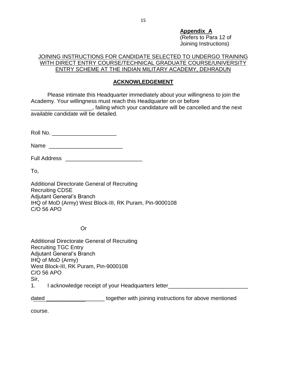**Appendix A**  (Refers to Para 12 of Joining Instructions)

#### JOINING INSTRUCTIONS FOR CANDIDATE SELECTED TO UNDERGO TRAINING WITH DIRECT ENTRY COURSE/TECHNICAL GRADUATE COURSE/UNIVERSITY ENTRY SCHEME AT THE INDIAN MILITARY ACADEMY, DEHRADUN

#### **ACKNOWLEDGEMENT**

Please intimate this Headquarter immediately about your willingness to join the Academy. Your willingness must reach this Headquarter on or before

**wave Elding which your candidature will be cancelled and the next** available candidate will be detailed.

Roll No. \_\_\_\_\_\_\_\_\_\_\_\_\_\_\_\_\_\_\_\_\_\_\_\_\_\_\_

Name \_\_\_\_\_\_\_\_\_\_\_\_\_\_\_\_\_\_\_\_\_\_\_\_

Full Address \_\_\_\_\_\_\_\_\_\_\_\_\_\_\_\_\_\_\_\_\_\_\_\_\_

To,

Additional Directorate General of Recruiting Recruiting CDSE Adjutant General"s Branch IHQ of MoD (Army) West Block-III, RK Puram, Pin-9000108 C/O 56 APO

Or

Additional Directorate General of Recruiting Recruiting TGC Entry Adjutant General"s Branch IHQ of MoD (Army) West Block-III, RK Puram, Pin-9000108 C/O 56 APO Sir, 1. I acknowledge receipt of your Headquarters letter\_\_\_\_\_\_\_\_\_\_\_\_\_\_\_\_\_\_\_\_\_\_\_\_\_\_

dated \_\_\_\_\_\_\_\_\_\_\_\_\_\_\_\_\_\_\_\_\_\_\_\_together with joining instructions for above mentioned

course.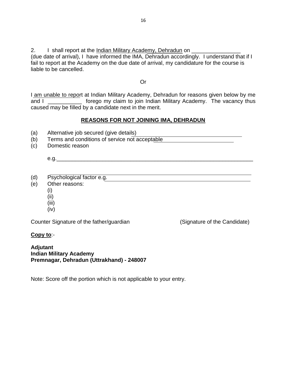2. I shall report at the Indian Military Academy, Dehradun on \_\_\_\_\_\_\_\_\_\_\_\_\_\_\_\_\_\_

(due date of arrival), I have informed the IMA, Dehradun accordingly. I understand that if I fail to report at the Academy on the due date of arrival, my candidature for the course is liable to be cancelled.

Or

I am unable to report at Indian Military Academy, Dehradun for reasons given below by me and I \_\_\_\_\_\_\_\_\_\_\_\_\_\_ forego my claim to join Indian Military Academy. The vacancy thus caused may be filled by a candidate next in the merit.

#### **REASONS FOR NOT JOINING IMA, DEHRADUN**

- (a) Alternative job secured (give details)
- (b) Terms and conditions of service not acceptable
- (c) Domestic reason

e.g.\_\_\_\_\_\_\_\_\_\_\_\_\_\_\_\_\_\_\_\_\_\_\_\_\_\_\_\_\_\_\_\_\_\_\_\_\_\_\_\_\_\_\_\_\_\_\_\_\_\_\_\_\_\_\_\_\_\_\_\_\_\_\_\_

- (d) Psychological factor e.g.
- (e) Other reasons:
	- (i)
	- (ii)
	- (iii)
	- (iv)

Counter Signature of the father/guardian (Signature of the Candidate)

**Copy to**:-

**Adjutant Indian Military Academy Premnagar, Dehradun (Uttrakhand) - 248007**

Note: Score off the portion which is not applicable to your entry.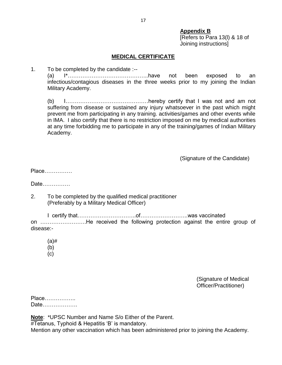#### **Appendix B**

[Refers to Para 13(l) & 18 of Joining instructions]

#### **MEDICAL CERTIFICATE**

1. To be completed by the candidate :--

(a) I\*……………………………………..have not been exposed to an infectious/contagious diseases in the three weeks prior to my joining the Indian Military Academy.

(b) I………………………………………hereby certify that I was not and am not suffering from disease or sustained any injury whatsoever in the past which might prevent me from participating in any training. activities/games and other events while in IMA. I also certify that there is no restriction imposed on me by medical authorities at any time forbidding me to participate in any of the training/games of Indian Military Academy.

(Signature of the Candidate)

Place……………

Date……………

2. To be completed by the qualified medical practitioner (Preferably by a Military Medical Officer)

I certify that…………………………..of……………………..was vaccinated on …………………….He received the following protection against the entire group of disease:-

(a)# (b)

(c)

(Signature of Medical Officer/Practitioner)

| Place |  |
|-------|--|
| Date  |  |

**Note**: \*UPSC Number and Name S/o Either of the Parent. #Tetanus, Typhoid & Hepatitis "B" is mandatory. Mention any other vaccination which has been administered prior to joining the Academy.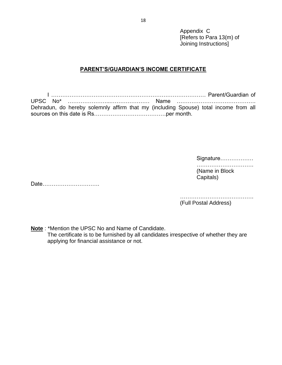Appendix C [Refers to Para 13(m) of Joining Instructions]

#### **PARENT'S/GUARDIAN'S INCOME CERTIFICATE**

I ………………………………………………………………………… Parent/Guardian of UPSC No\* …………………...………………… Name ……………………………………. Dehradun, do hereby solemnly affirm that my (including Spouse) total income from all sources on this date is Rs…………………………………per month.

> Signature……………… …………………………………… (Name in Block Capitals)

Date………………………….

……………………………………………… (Full Postal Address)

**Note** : \*Mention the UPSC No and Name of Candidate.

The certificate is to be furnished by all candidates irrespective of whether they are applying for financial assistance or not.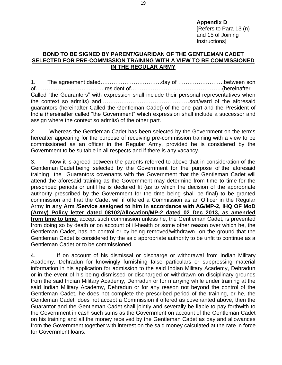**Appendix D**  [Refers to Para 13 (n) and 15 of Joining Instructions]

#### **BOND TO BE SIGNED BY PARENT/GUARIDAN OF THE GENTLEMAN CADET SELECTED FOR PRE-COMMISSION TRAINING WITH A VIEW TO BE COMMISSIONED IN THE REGULAR ARMY**

1. The agreement dated……………………………day of …………………….between son of………………………………..resident of…………………………………………..(hereinafter Called "the Guarantors" with expression shall include their personal representatives when the context so admits) and…………………………………………son/ward of the aforesaid guarantors (hereinafter Called the Gentleman Cadet) of the one part and the President of India (hereinafter called "the Government" which expression shall include a successor and assign where the context so admits) of the other part.

2. Whereas the Gentleman Cadet has been selected by the Government on the terms hereafter appearing for the purpose of receiving pre-commission training with a view to be commissioned as an officer in the Regular Army, provided he is considered by the Government to be suitable in all respects and if there is any vacancy.

3. Now it is agreed between the parents referred to above that in consideration of the Gentleman Cadet being selected by the Government for the purpose of the aforesaid training the Guarantors covenants with the Government that the Gentleman Cadet will attend the aforesaid training as the Government may determine from time to time for the prescribed periods or until he is declared fit (as to which the decision of the appropriate authority prescribed by the Government for the time being shall be final) to be granted commission and that the Cadet will if offered a Commission as an Officer in the Regular Army **in any Arm /Service assigned to him in accordance with AG/MP-2, IHQ OF MoD (Army) Policy letter dated 08102/Allocation/MP-2 dated 02 Dec 2013, as amended from time to time,** accept such commission unless he, the Gentleman Cadet, is prevented from doing so by death or on account of ill-health or some other reason over which he, the Gentleman Cadet, has no control or by being removed/withdrawn on the ground that the Gentleman Cadet is considered by the said appropriate authority to be unfit to continue as a Gentleman Cadet or to be commissioned.

4. If on account of his dismissal or discharge or withdrawal from Indian Military Academy, Dehradun for knowingly furnishing false particulars or suppressing material information in his application for admission to the said Indian Military Academy, Dehradun or in the event of his being dismissed or discharged or withdrawn on disciplinary grounds from the said Indian Military Academy, Dehradun or for marrying while under training at the said Indian Military Academy, Dehradun or for any reason not beyond the control of the Gentleman Cadet, he does not complete the prescribed period of the training, or he, the Gentleman Cadet, does not accept a Commission if offered as covenanted above, then the Guarantor and the Gentleman Cadet shall jointly and severally be liable to pay forthwith to the Government in cash such sums as the Government on account of the Gentleman Cadet on his training and all the money received by the Gentleman Cadet as pay and allowances from the Government together with interest on the said money calculated at the rate in force for Government loans.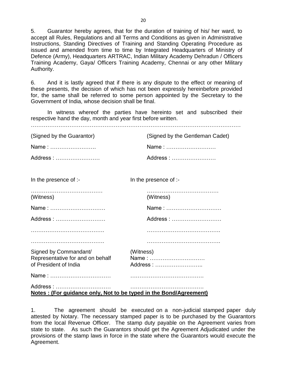5. Guarantor hereby agrees, that for the duration of training of his/ her ward, to accept all Rules, Regulations and all Terms and Conditions as given in Administrative Instructions, Standing Directives of Training and Standing Operating Procedure as issued and amended from time to time by Integrated Headquarters of Ministry of Defence (Army), Headquarters ARTRAC, Indian Military Academy Dehradun / Officers Training Academy, Gaya/ Officers Training Academy, Chennai or any other Military Authority.

6. And it is lastly agreed that if there is any dispute to the effect or meaning of these presents, the decision of which has not been expressly hereinbefore provided for, the same shall be referred to some person appointed by the Secretary to the Government of India, whose decision shall be final.

In witness whereof the parties have hereinto set and subscribed their respective hand the day, month and year first before written.

| (Signed by the Guarantor)                                                            | (Signed by the Gentleman Cadet) |
|--------------------------------------------------------------------------------------|---------------------------------|
| Name:                                                                                | Name:                           |
| Address:                                                                             | Address:                        |
|                                                                                      |                                 |
| In the presence of :-                                                                | In the presence of :-           |
| (Witness)                                                                            | (Witness)                       |
| Name:                                                                                | Name:                           |
| Address:                                                                             | Address:                        |
|                                                                                      |                                 |
|                                                                                      |                                 |
| Signed by Commandant/<br>Representative for and on behalf<br>of President of India   | (Witness)<br>Name:<br>Address:  |
|                                                                                      |                                 |
| Address:<br><u>Notes: (For guidance only, Not to be typed in the Bond/Agreement)</u> |                                 |

1. The agreement should be executed on a non-judicial stamped paper duly attested by Notary. The necessary stamped paper is to be purchased by the Guarantors from the local Revenue Officer. The stamp duty payable on the Agreement varies from state to state. As such the Guarantors should get the Agreement Adjudicated under the provisions of the stamp laws in force in the state where the Guarantors would execute the Agreement.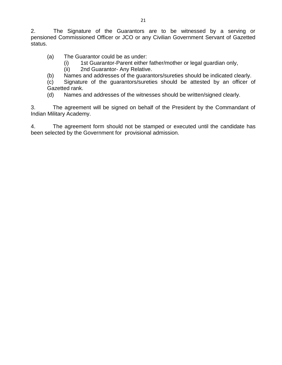2. The Signature of the Guarantors are to be witnessed by a serving or pensioned Commissioned Officer or JCO or any Civilian Government Servant of Gazetted status.

(a) The Guarantor could be as under:

- (i) 1st Guarantor-Parent either father/mother or legal guardian only,
- (ii) 2nd Guarantor- Any Relative.

(b) Names and addresses of the guarantors/sureties should be indicated clearly.

(c) Signature of the guarantors/sureties should be attested by an officer of Gazetted rank.

(d) Names and addresses of the witnesses should be written/signed clearly.

3. The agreement will be signed on behalf of the President by the Commandant of Indian Military Academy.

4. The agreement form should not be stamped or executed until the candidate has been selected by the Government for provisional admission.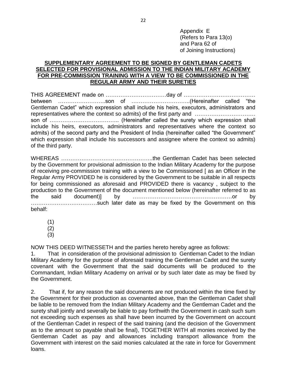Appendix E (Refers to Para 13(o) and Para 62 of of Joining Instructions)

#### **SUPPLEMENTARY AGREEMENT TO BE SIGNED BY GENTLEMAN CADETS SELECTED FOR PROVISIONAL ADMISSION TO THE INDIAN MILITARY ACADEMY FOR PRE-COMMISSION TRAINING WITH A VIEW TO BE COMMISSIONED IN THE REGULAR ARMY AND THEIR SURETIES**

THIS AGREEMENT made on ……………………………day of ………………………………… between ……………………..son of …………………………..(Hereinafter called "the Gentleman Cadet" which expression shall include his heirs, executors, administrators and representatives where the context so admits) of the first party and …………………………… son of ……………………………….. (Hereinafter called the surety which expression shall include his heirs, executors, administrators and representatives where the context so admits) of the second party and the President of India (hereinafter called "the Government" which expression shall include his successors and assignee where the context so admits) of the third party.

WHEREAS …………………………………………..the Gentleman Cadet has been selected by the Government for provisional admission to the Indian Military Academy for the purpose of receiving pre-commission training with a view to be Commissioned [ as an Officer in the Regular Army PROVIDED he is considered by the Government to be suitable in all respects for being commissioned as aforesaid and PROVIDED there is vacancy , subject to the production to the Government of the document mentioned below (hereinafter referred to as the said document)] by ………………………………………………or by ………………………………such later date as may be fixed by the Government on this behalf:

(1)

(2)

(3)

NOW THIS DEED WITNESSETH and the parties hereto hereby agree as follows:

1. That in consideration of the provisional admission to Gentleman Cadet to the Indian Military Academy for the purpose of aforesaid training the Gentleman Cadet and the surety covenant with the Government that the said documents will be produced to the Commandant, Indian Military Academy on arrival or by such later date as may be fixed by the Government.

2. That if, for any reason the said documents are not produced within the time fixed by the Government for their production as covenanted above, than the Gentleman Cadet shall be liable to be removed from the Indian Military Academy and the Gentleman Cadet and the surety shall jointly and severally be liable to pay forthwith the Government in cash such sum not exceeding such expenses as shall have been incurred by the Government on account of the Gentleman Cadet in respect of the said training (and the decision of the Government as to the amount so payable shall be final), TOGETHER WITH all monies received by the Gentleman Cadet as pay and allowances including transport allowance from the Government with interest on the said monies calculated at the rate in force for Government loans.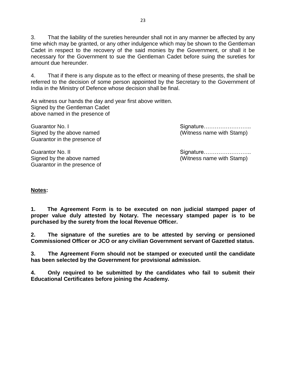3. That the liability of the sureties hereunder shall not in any manner be affected by any time which may be granted, or any other indulgence which may be shown to the Gentleman Cadet in respect to the recovery of the said monies by the Government, or shall it be necessary for the Government to sue the Gentleman Cadet before suing the sureties for amount due hereunder.

4. That if there is any dispute as to the effect or meaning of these presents, the shall be referred to the decision of some person appointed by the Secretary to the Government of India in the Ministry of Defence whose decision shall be final.

As witness our hands the day and year first above written. Signed by the Gentleman Cadet above named in the presence of

Guarantor No. I Signature…………………….. Signed by the above named (Witness name with Stamp) Guarantor in the presence of

Signed by the above named (Witness name with Stamp) Guarantor in the presence of

Guarantor No. II Signature……………………..

#### **Notes:**

**1. The Agreement Form is to be executed on non judicial stamped paper of proper value duly attested by Notary. The necessary stamped paper is to be purchased by the surety from the local Revenue Officer.**

**2. The signature of the sureties are to be attested by serving or pensioned Commissioned Officer or JCO or any civilian Government servant of Gazetted status.**

**3. The Agreement Form should not be stamped or executed until the candidate has been selected by the Government for provisional admission.**

**4. Only required to be submitted by the candidates who fail to submit their Educational Certificates before joining the Academy.**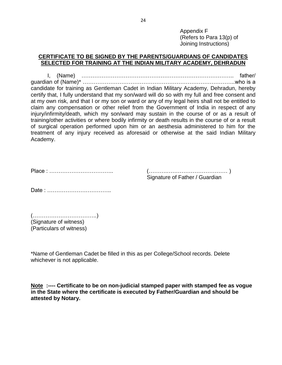Appendix F (Refers to Para 13(p) of Joining Instructions)

#### **CERTIFICATE TO BE SIGNED BY THE PARENTS/GUARDIANS OF CANDIDATES SELECTED FOR TRAINING AT THE INDIAN MILITARY ACADEMY, DEHRADUN**

I, (Name) ……………………………………………………………………….. father/ guardian of (Name)\* ………………………………………………………………………..who is a candidate for training as Gentleman Cadet in Indian Military Academy, Dehradun, hereby certify that, I fully understand that my son/ward will do so with my full and free consent and at my own risk, and that I or my son or ward or any of my legal heirs shall not be entitled to claim any compensation or other relief from the Government of India in respect of any injury/infirmity/death, which my son/ward may sustain in the course of or as a result of training/other activities or where bodily infirmity or death results in the course of or a result of surgical operation performed upon him or an aesthesia administered to him for the treatment of any injury received as aforesaid or otherwise at the said Indian Military Academy.

| Signature of Father / Guardian |
|--------------------------------|

Date : ……………………………..

(……………………………..) (Signature of witness) (Particulars of witness)

\*Name of Gentleman Cadet be filled in this as per College/School records. Delete whichever is not applicable.

**Note :---- Certificate to be on non-judicial stamped paper with stamped fee as vogue in the State where the certificate is executed by Father/Guardian and should be attested by Notary.**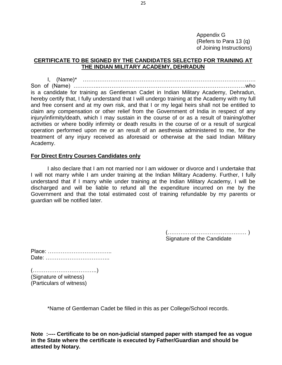Appendix G (Refers to Para 13 (q) of Joining Instructions)

#### **CERTIFICATE TO BE SIGNED BY THE CANDIDATES SELECTED FOR TRAINING AT THE INDIAN MILITARY ACADEMY, DEHRADUN**

I, (Name)\* …………………………………………………………………………………. Son of (Name) …………..……………………………………………………………………..who is a candidate for training as Gentleman Cadet in Indian Military Academy, Dehradun, hereby certify that, I fully understand that I will undergo training at the Academy with my full and free consent and at my own risk, and that I or my legal heirs shall not be entitled to claim any compensation or other relief from the Government of India in respect of any injury/infirmity/death, which I may sustain in the course of or as a result of training/other activities or where bodily infirmity or death results in the course of or a result of surgical operation performed upon me or an result of an aesthesia administered to me, for the treatment of any injury received as aforesaid or otherwise at the said Indian Military Academy.

#### **For Direct Entry Courses Candidates only**

I also declare that I am not married nor I am widower or divorce and I undertake that I will not marry while I am under training at the Indian Military Academy. Further, I fully understand that if I marry while under training at the Indian Military Academy, I will be discharged and will be liable to refund all the expenditure incurred on me by the Government and that the total estimated cost of training refundable by my parents or guardian will be notified later.

> (……….…………………………… ) Signature of the Candidate

(……………………………..) (Signature of witness) (Particulars of witness)

\*Name of Gentleman Cadet be filled in this as per College/School records.

**Note :---- Certificate to be on non-judicial stamped paper with stamped fee as vogue in the State where the certificate is executed by Father/Guardian and should be attested by Notary.**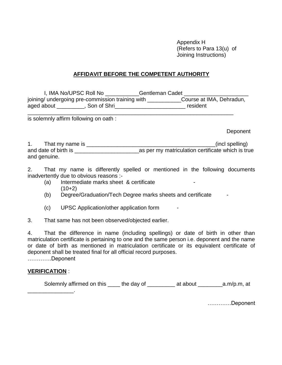Appendix H (Refers to Para 13(u) of Joining Instructions)

#### **AFFIDAVIT BEFORE THE COMPETENT AUTHORITY**

I, IMA No/UPSC Roll No **Gentleman Cadet** joining/ undergoing pre-commission training with \_\_\_\_\_\_\_\_\_\_\_\_\_\_Course at IMA, Dehradun, aged about \_\_\_\_\_\_\_\_\_, Son of Shri\_\_\_\_\_\_\_\_\_\_\_\_\_\_\_\_\_\_\_\_\_\_\_ resident

\_\_\_\_\_\_\_\_\_\_\_\_\_\_\_\_\_\_\_\_\_\_\_\_\_\_\_\_\_\_\_\_\_\_\_\_\_\_\_\_\_\_\_\_\_\_\_\_\_\_\_\_\_\_\_\_\_\_\_\_\_\_\_\_\_\_\_

is solemnly affirm following on oath :

Deponent

| That my name is      | (incl spelling)                                   |
|----------------------|---------------------------------------------------|
| and date of birth is | as per my matriculation certificate which is true |
| and genuine.         |                                                   |

2. That my name is differently spelled or mentioned in the following documents inadvertently due to obvious reasons :-

- (a) Intermediate marks sheet & certificate  $(10+2)$
- (b) Degree/Graduation/Tech Degree marks sheets and certificate -
- (c) UPSC Application/other application form -
- 3. That same has not been observed/objected earlier.

4. That the difference in name (including spellings) or date of birth in other than matriculation certificate is pertaining to one and the same person i.e. deponent and the name or date of birth as mentioned in matriculation certificate or its equivalent certificate of deponent shall be treated final for all official record purposes. ………….Deponent

#### **VERIFICATION** :

Solemnly affirmed on this the day of the at about a.m/p.m, at \_\_\_\_\_\_\_\_\_\_\_\_\_\_\_.

………….Deponent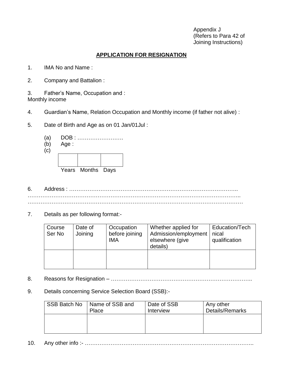Appendix J (Refers to Para 42 of Joining Instructions)

## **APPLICATION FOR RESIGNATION**

- 1. IMA No and Name :
- 2. Company and Battalion :
- 3. Father"s Name, Occupation and : Monthly income
- 4. Guardian"s Name, Relation Occupation and Monthly income (if father not alive) :
- 5. Date of Birth and Age as on 01 Jan/01Jul :



(b) Age :



- 6. Address : ……………………………………………………………………………….. …………………………………………………………………………………………………….. ………………………………………………………………………………………………………
- 7. Details as per following format:-

| Course<br>Ser No | Date of<br>Joining | Occupation<br>before joining<br><b>IMA</b> | Whether applied for<br>Admission/employment<br>elsewhere (give<br>details) | Education/Tech<br>nical<br>qualification |
|------------------|--------------------|--------------------------------------------|----------------------------------------------------------------------------|------------------------------------------|
|                  |                    |                                            |                                                                            |                                          |

- 8. Reasons for Resignation …………………………………………………………………..
- 9. Details concerning Service Selection Board (SSB):-

| SSB Batch No | Name of SSB and | Date of SSB | Any other       |
|--------------|-----------------|-------------|-----------------|
|              | Place           | Interview   | Details/Remarks |
|              |                 |             |                 |
|              |                 |             |                 |
|              |                 |             |                 |

10. Any other info :- ………………………………………………………………………………..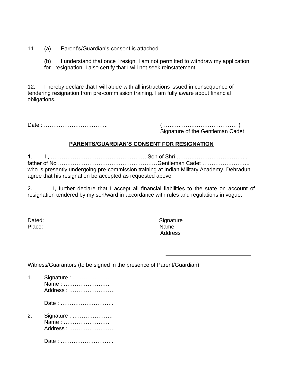- 11. (a) Parent"s/Guardian"s consent is attached.
	- (b) I understand that once I resign, I am not permitted to withdraw my application for resignation. I also certify that I will not seek reinstatement.

12. I hereby declare that I will abide with all instructions issued in consequence of tendering resignation from pre-commission training. I am fully aware about financial obligations.

Date : …………………………….. (……….………………….……… )

Signature of the Gentleman Cadet

#### **PARENTS/GUARDIAN'S CONSENT FOR RESIGNATION**

1. I , ……………………………………………. Son of Shri ………………………………... father of No ………………………………………………Gentleman Cadet …………………….. who is presently undergoing pre-commission training at Indian Military Academy, Dehradun agree that his resignation be accepted as requested above.

2. I, further declare that I accept all financial liabilities to the state on account of resignation tendered by my son/ward in accordance with rules and regulations in vogue.

| Dated: |  |
|--------|--|
| Place: |  |

Signature Place: Name Address

Witness/Guarantors (to be signed in the presence of Parent/Guardian)

| 1. Signature : |
|----------------|
| Name:          |
| Address:       |

Date : ………………………..

2. Signature : …………………. Name : ……………………. Address : …………………….

Date : ………………………